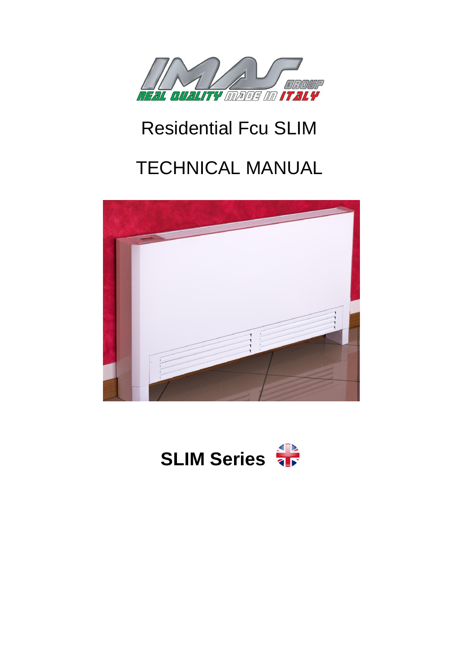

# Residential Fcu SLIM

# TECHNICAL MANUAL



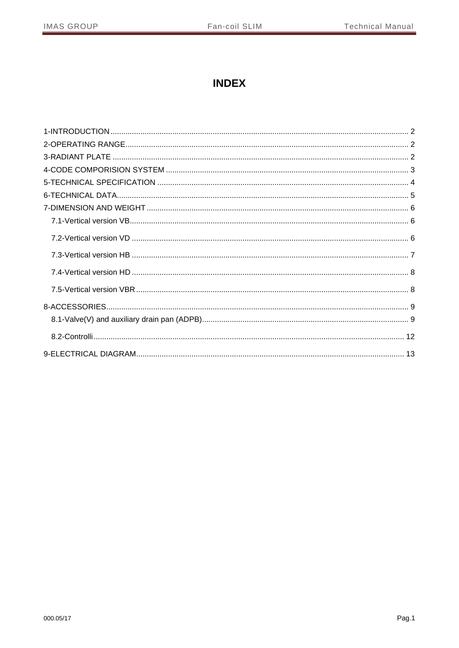# **INDEX**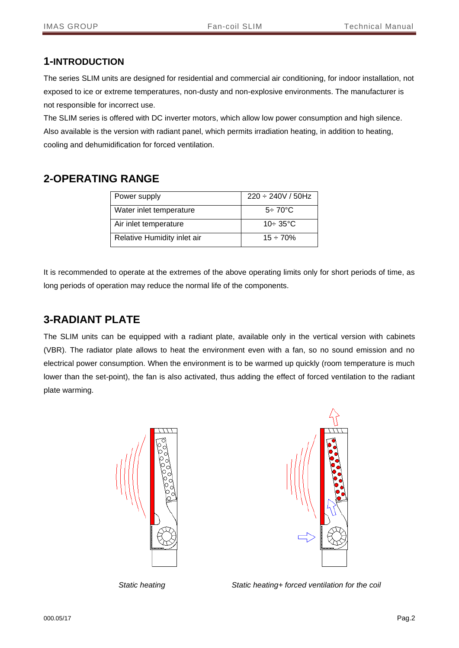#### <span id="page-2-0"></span>**1-INTRODUCTION**

The series SLIM units are designed for residential and commercial air conditioning, for indoor installation, not exposed to ice or extreme temperatures, non-dusty and non-explosive environments. The manufacturer is not responsible for incorrect use.

The SLIM series is offered with DC inverter motors, which allow low power consumption and high silence. Also available is the version with radiant panel, which permits irradiation heating, in addition to heating, cooling and dehumidification for forced ventilation.

## <span id="page-2-1"></span>**2-OPERATING RANGE**

| Power supply                | $220 \div 240V / 50Hz$ |
|-----------------------------|------------------------|
| Water inlet temperature     | $5\div 70^{\circ}$ C   |
| Air inlet temperature       | $10 - 35$ °C           |
| Relative Humidity inlet air | $15 - 70%$             |

It is recommended to operate at the extremes of the above operating limits only for short periods of time, as long periods of operation may reduce the normal life of the components.

## <span id="page-2-2"></span>**3-RADIANT PLATE**

The SLIM units can be equipped with a radiant plate, available only in the vertical version with cabinets (VBR). The radiator plate allows to heat the environment even with a fan, so no sound emission and no electrical power consumption. When the environment is to be warmed up quickly (room temperature is much lower than the set-point), the fan is also activated, thus adding the effect of forced ventilation to the radiant plate warming.





 *Static heating Static heating+ forced ventilation for the coil*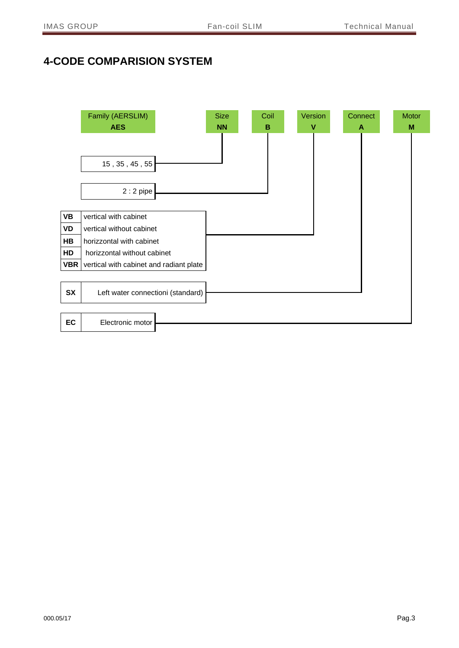# <span id="page-3-0"></span>**4-CODE COMPARISION SYSTEM**

|            | Family (AERSLIM)                        | <b>Size</b> | Coil | Version | Connect | Motor |
|------------|-----------------------------------------|-------------|------|---------|---------|-------|
|            | <b>AES</b>                              | <b>NN</b>   | в    | ۷       | A       | M     |
|            |                                         |             |      |         |         |       |
|            | 15, 35, 45, 55                          |             |      |         |         |       |
|            | $2:2$ pipe                              |             |      |         |         |       |
| <b>VB</b>  | vertical with cabinet                   |             |      |         |         |       |
| VD         | vertical without cabinet                |             |      |         |         |       |
| HB         | horizzontal with cabinet                |             |      |         |         |       |
| HD         | horizzontal without cabinet             |             |      |         |         |       |
| <b>VBR</b> | vertical with cabinet and radiant plate |             |      |         |         |       |
|            |                                         |             |      |         |         |       |
| <b>SX</b>  | Left water connectioni (standard)       |             |      |         |         |       |
| EC         | Electronic motor                        |             |      |         |         |       |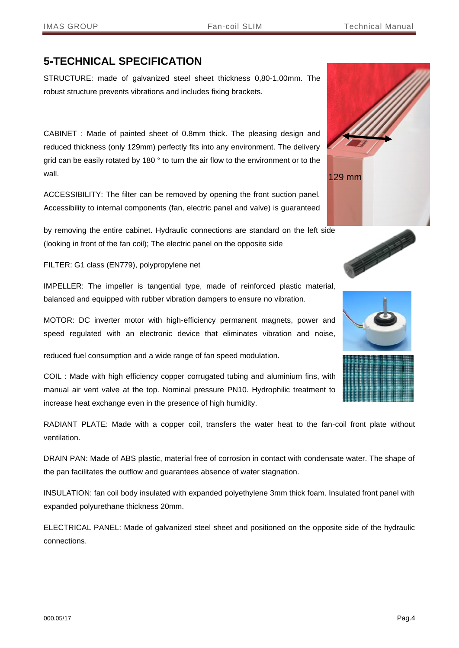## <span id="page-4-0"></span>**5-TECHNICAL SPECIFICATION**

STRUCTURE: made of galvanized steel sheet thickness 0,80-1,00mm. The robust structure prevents vibrations and includes fixing brackets.

CABINET : Made of painted sheet of 0.8mm thick. The pleasing design and reduced thickness (only 129mm) perfectly fits into any environment. The delivery grid can be easily rotated by 180 ° to turn the air flow to the environment or to the wall.

ACCESSIBILITY: The filter can be removed by opening the front suction panel. Accessibility to internal components (fan, electric panel and valve) is guaranteed

by removing the entire cabinet. Hydraulic connections are standard on the left side (looking in front of the fan coil); The electric panel on the opposite side

FILTER: G1 class (EN779), polypropylene net

IMPELLER: The impeller is tangential type, made of reinforced plastic material, balanced and equipped with rubber vibration dampers to ensure no vibration.

MOTOR: DC inverter motor with high-efficiency permanent magnets, power and speed regulated with an electronic device that eliminates vibration and noise,

reduced fuel consumption and a wide range of fan speed modulation.

COIL : Made with high efficiency copper corrugated tubing and aluminium fins, with manual air vent valve at the top. Nominal pressure PN10. Hydrophilic treatment to increase heat exchange even in the presence of high humidity.

RADIANT PLATE: Made with a copper coil, transfers the water heat to the fan-coil front plate without ventilation.

DRAIN PAN: Made of ABS plastic, material free of corrosion in contact with condensate water. The shape of the pan facilitates the outflow and guarantees absence of water stagnation.

INSULATION: fan coil body insulated with expanded polyethylene 3mm thick foam. Insulated front panel with expanded polyurethane thickness 20mm.

ELECTRICAL PANEL: Made of galvanized steel sheet and positioned on the opposite side of the hydraulic connections.





POSTAGE PRODUCTS

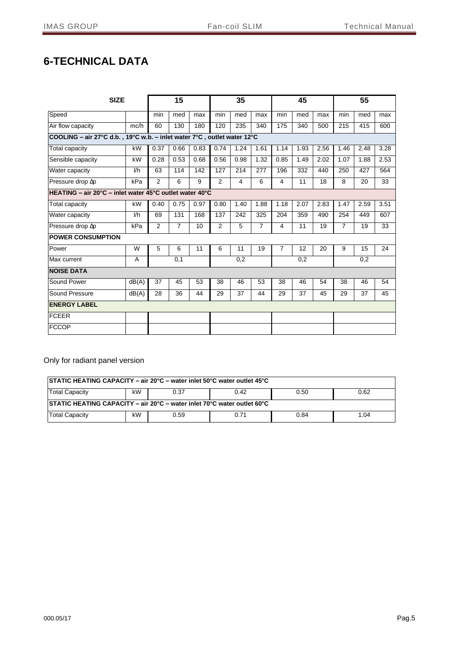# <span id="page-5-0"></span>**6-TECHNICAL DATA**

| <b>SIZE</b>                                                             |       |      | 15             |      |                | 35             |                |                | 45   |      |                | 55   |      |
|-------------------------------------------------------------------------|-------|------|----------------|------|----------------|----------------|----------------|----------------|------|------|----------------|------|------|
| Speed                                                                   |       | min  | med            | max  | min            | med            | max            | min            | med  | max  | min            | med  | max  |
| Air flow capacity                                                       | mc/h  | 60   | 130            | 180  | 120            | 235            | 340            | 175            | 340  | 500  | 215            | 415  | 600  |
| COOLING - air 27°C d.b., 19°C w.b. - inlet water 7°C, outlet water 12°C |       |      |                |      |                |                |                |                |      |      |                |      |      |
| Total capacity                                                          | kW    | 0.37 | 0.66           | 0.83 | 0.74           | 1.24           | 1.61           | 1.14           | 1.93 | 2.56 | 1.46           | 2.48 | 3.28 |
| Sensible capacity                                                       | kW    | 0.28 | 0.53           | 0.68 | 0.56           | 0.98           | 1.32           | 0.85           | 1.49 | 2.02 | 1.07           | 1.88 | 2.53 |
| Water capacity                                                          | 1/h   | 63   | 114            | 142  | 127            | 214            | 277            | 196            | 332  | 440  | 250            | 427  | 564  |
| Pressure drop Ap                                                        | kPa   | 2    | 6              | 9    | $\overline{2}$ | 4              | 6              | 4              | 11   | 18   | 8              | 20   | 33   |
| HEATING - air 20°C - inlet water 45°C outlet water 40°C                 |       |      |                |      |                |                |                |                |      |      |                |      |      |
| Total capacity                                                          | kW    | 0.40 | 0.75           | 0.97 | 0.80           | 1.40           | 1.88           | 1.18           | 2.07 | 2.83 | 1.47           | 2.59 | 3.51 |
| Water capacity                                                          | 1/h   | 69   | 131            | 168  | 137            | 242            | 325            | 204            | 359  | 490  | 254            | 449  | 607  |
| Pressure drop Ap                                                        | kPa   | 2    | $\overline{7}$ | 10   | $\overline{2}$ | $\overline{5}$ | $\overline{7}$ | 4              | 11   | 19   | $\overline{7}$ | 19   | 33   |
| <b>POWER CONSUMPTION</b>                                                |       |      |                |      |                |                |                |                |      |      |                |      |      |
| Power                                                                   | W     | 5    | 6              | 11   | 6              | 11             | 19             | $\overline{7}$ | 12   | 20   | 9              | 15   | 24   |
| Max current                                                             | A     |      | 0,1            |      |                | 0,2            |                |                | 0,2  |      |                | 0,2  |      |
| <b>NOISE DATA</b>                                                       |       |      |                |      |                |                |                |                |      |      |                |      |      |
| Sound Power                                                             | dB(A) | 37   | 45             | 53   | 38             | 46             | 53             | 38             | 46   | 54   | 38             | 46   | 54   |
| Sound Pressure                                                          | dB(A) | 28   | 36             | 44   | 29             | 37             | 44             | 29             | 37   | 45   | 29             | 37   | 45   |
| <b>ENERGY LABEL</b>                                                     |       |      |                |      |                |                |                |                |      |      |                |      |      |
| <b>FCEER</b>                                                            |       |      |                |      |                |                |                |                |      |      |                |      |      |
| <b>FCCOP</b>                                                            |       |      |                |      |                |                |                |                |      |      |                |      |      |

Only for radiant panel version

| <b>STATIC HEATING CAPACITY - air 20°C - water inlet 50°C water outlet 45°C</b> |    |      |      |      |      |  |  |  |
|--------------------------------------------------------------------------------|----|------|------|------|------|--|--|--|
| kW<br>Total Capacity<br>0.62<br>0.37<br>0.42<br>0.50                           |    |      |      |      |      |  |  |  |
| STATIC HEATING CAPACITY - air 20°C - water inlet 70°C water outlet 60°C        |    |      |      |      |      |  |  |  |
| Total Capacity                                                                 | kW | 0.59 | 0.71 | 0.84 | 1.04 |  |  |  |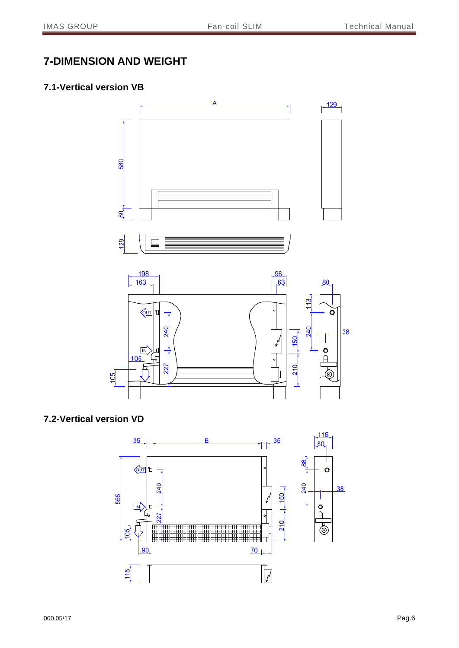## <span id="page-6-0"></span>**7-DIMENSION AND WEIGHT**

#### <span id="page-6-1"></span>**7.1-Vertical version VB**



## <span id="page-6-2"></span>**7.2-Vertical version VD**

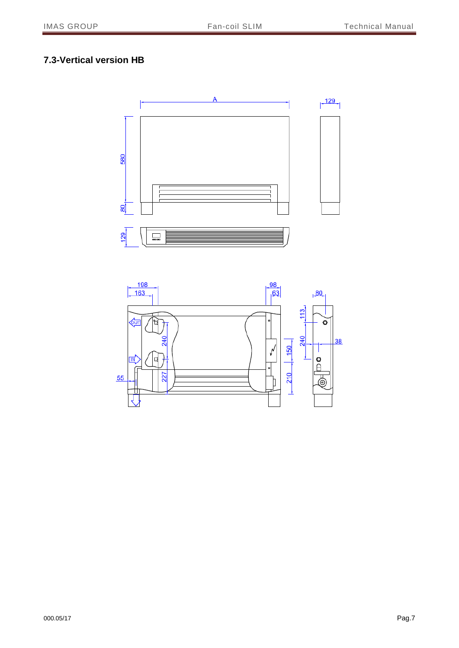## <span id="page-7-0"></span>**7.3-Vertical version HB**



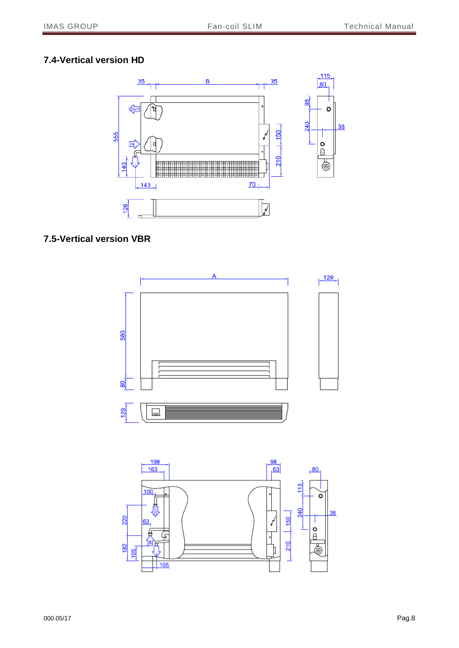## <span id="page-8-0"></span>**7.4-Vertical version HD**



#### <span id="page-8-1"></span>**7.5-Vertical version VBR**

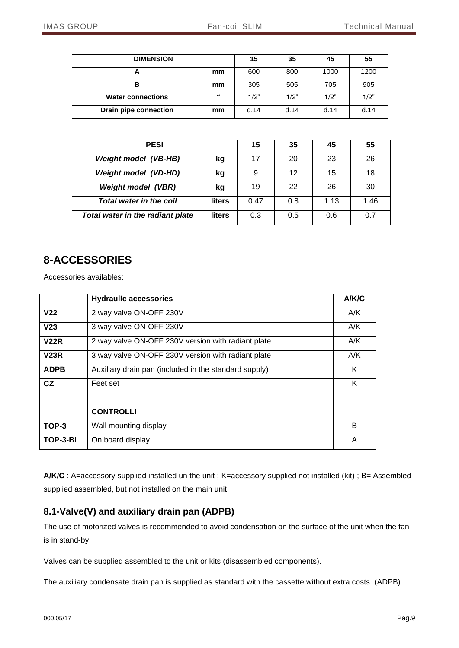| <b>DIMENSION</b>         |    | 15   | 35   | 45   | 55   |
|--------------------------|----|------|------|------|------|
| Ē                        | mm | 600  | 800  | 1000 | 1200 |
| в                        | mm | 305  | 505  | 705  | 905  |
| <b>Water connections</b> | 66 | 1/2" | 1/2" | 1/2" | 1/2" |
| Drain pipe connection    | mm | d.14 | d.14 | d.14 | d.14 |

| <b>PESI</b>                      |               | 15   | 35  | 45   | 55   |
|----------------------------------|---------------|------|-----|------|------|
| <b>Weight model (VB-HB)</b>      | kg            | 17   | 20  | 23   | 26   |
| <b>Weight model (VD-HD)</b>      | kg            | 9    | 12  | 15   | 18   |
| <b>Weight model (VBR)</b>        | kg            | 19   | 22  | 26   | 30   |
| <b>Total water in the coil</b>   | <b>liters</b> | 0.47 | 0.8 | 1.13 | 1.46 |
| Total water in the radiant plate | <b>liters</b> | 0.3  | 0.5 | 0.6  | 0.7  |

# <span id="page-9-0"></span>**8-ACCESSORIES**

Accessories availables:

|                 | <b>Hydraullc accessories</b>                          | A/K/C |
|-----------------|-------------------------------------------------------|-------|
| V <sub>22</sub> | 2 way valve ON-OFF 230V                               | A/K   |
| V <sub>23</sub> | 3 way valve ON-OFF 230V                               | A/K   |
| <b>V22R</b>     | 2 way valve ON-OFF 230V version with radiant plate    | A/K   |
| V23R            | 3 way valve ON-OFF 230V version with radiant plate    | A/K   |
| <b>ADPB</b>     | Auxiliary drain pan (included in the standard supply) | K     |
| CZ              | Feet set                                              | Κ     |
|                 |                                                       |       |
|                 | <b>CONTROLLI</b>                                      |       |
| TOP-3           | Wall mounting display                                 | B     |
| TOP-3-BI        | On board display                                      | A     |

**A/K/C** : A=accessory supplied installed un the unit ; K=accessory supplied not installed (kit) ; B= Assembled supplied assembled, but not installed on the main unit

#### <span id="page-9-1"></span>**8.1-Valve(V) and auxiliary drain pan (ADPB)**

The use of motorized valves is recommended to avoid condensation on the surface of the unit when the fan is in stand-by.

Valves can be supplied assembled to the unit or kits (disassembled components).

The auxiliary condensate drain pan is supplied as standard with the cassette without extra costs. (ADPB).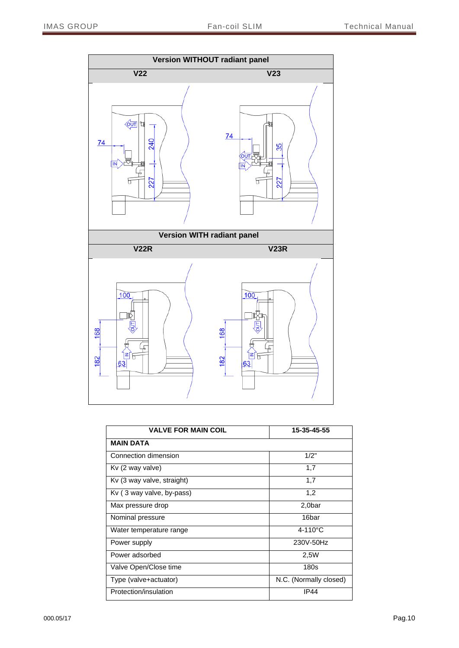

| <b>VALVE FOR MAIN COIL</b> | 15-35-45-55            |
|----------------------------|------------------------|
| <b>MAIN DATA</b>           |                        |
| Connection dimension       | 1/2"                   |
| Kv (2 way valve)           | 1,7                    |
| Kv (3 way valve, straight) | 1,7                    |
| Kv (3 way valve, by-pass)  | 1,2                    |
| Max pressure drop          | 2,0bar                 |
| Nominal pressure           | 16bar                  |
| Water temperature range    | $4-110^{\circ}$ C      |
| Power supply               | 230V-50Hz              |
| Power adsorbed             | 2,5W                   |
| Valve Open/Close time      | 180s                   |
| Type (valve+actuator)      | N.C. (Normally closed) |
| Protection/insulation      | <b>IP44</b>            |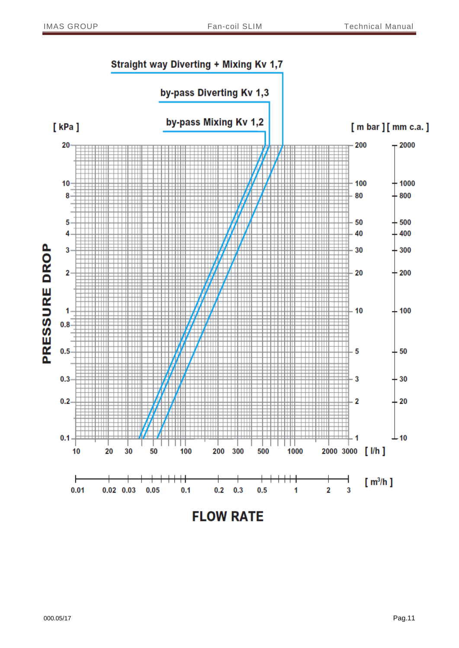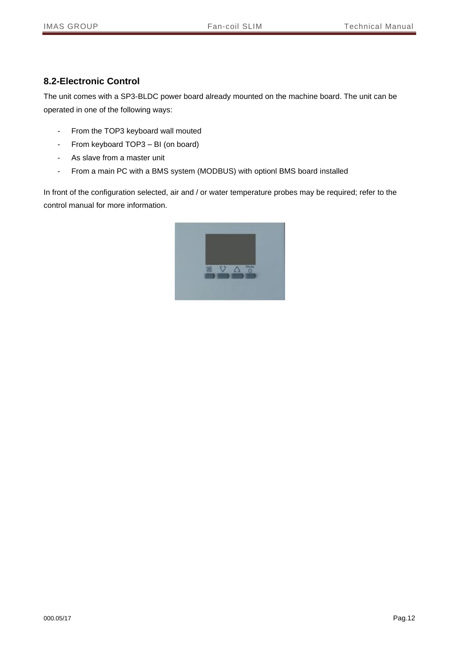#### <span id="page-12-0"></span>**8.2-Electronic Control**

The unit comes with a SP3-BLDC power board already mounted on the machine board. The unit can be operated in one of the following ways:

- From the TOP3 keyboard wall mouted
- From keyboard TOP3 BI (on board)
- As slave from a master unit
- From a main PC with a BMS system (MODBUS) with optionl BMS board installed

In front of the configuration selected, air and / or water temperature probes may be required; refer to the control manual for more information.

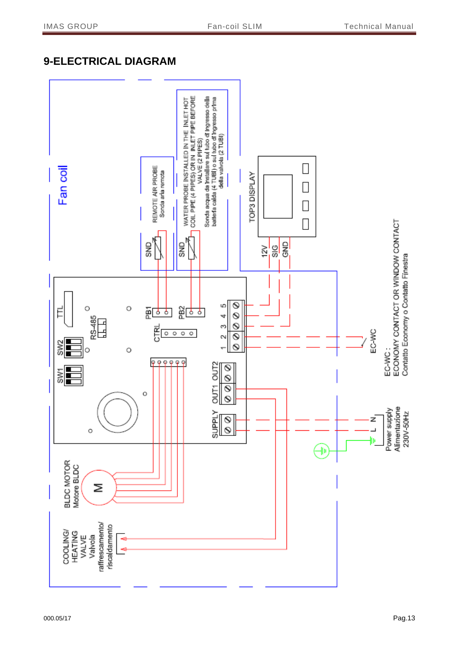# <span id="page-13-0"></span>**9-ELECTRICAL DIAGRAM**

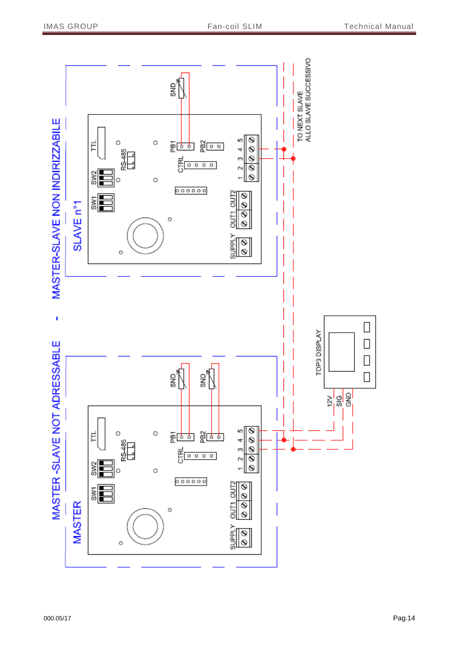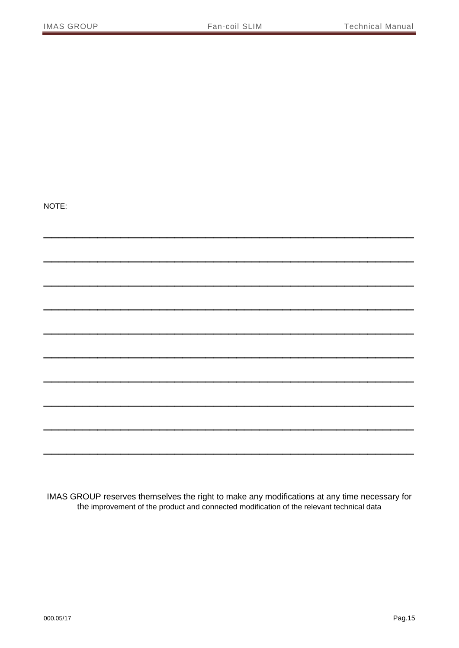NOTE:

IMAS GROUP reserves themselves the right to make any modifications at any time necessary for the improvement of the product and connected modification of the relevant technical data